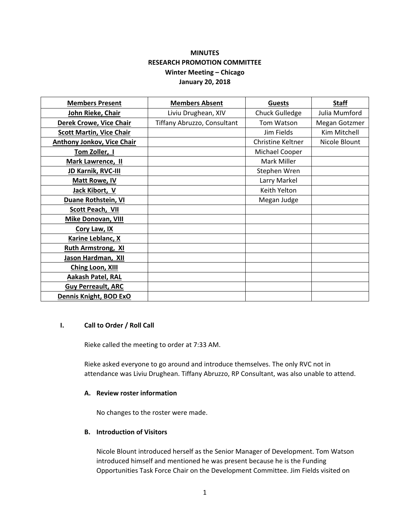# **MINUTES RESEARCH PROMOTION COMMITTEE Winter Meeting – Chicago January 20, 2018**

| <b>Members Present</b>            | <b>Members Absent</b>       | <b>Guests</b>     | <b>Staff</b>  |
|-----------------------------------|-----------------------------|-------------------|---------------|
| John Rieke, Chair                 | Liviu Drughean, XIV         | Chuck Gulledge    | Julia Mumford |
| <b>Derek Crowe, Vice Chair</b>    | Tiffany Abruzzo, Consultant | Tom Watson        | Megan Gotzmer |
| <b>Scott Martin, Vice Chair</b>   |                             | Jim Fields        | Kim Mitchell  |
| <b>Anthony Jonkov, Vice Chair</b> |                             | Christine Keltner | Nicole Blount |
| Tom Zoller, I                     |                             | Michael Cooper    |               |
| <b>Mark Lawrence, II</b>          |                             | Mark Miller       |               |
| JD Karnik, RVC-III                |                             | Stephen Wren      |               |
| <b>Matt Rowe, IV</b>              |                             | Larry Markel      |               |
| Jack Kibort, V                    |                             | Keith Yelton      |               |
| Duane Rothstein, VI               |                             | Megan Judge       |               |
| Scott Peach, VII                  |                             |                   |               |
| <b>Mike Donovan, VIII</b>         |                             |                   |               |
| Cory Law, IX                      |                             |                   |               |
| Karine Leblanc, X                 |                             |                   |               |
| <b>Ruth Armstrong, XI</b>         |                             |                   |               |
| Jason Hardman, XII                |                             |                   |               |
| <b>Ching Loon, XIII</b>           |                             |                   |               |
| Aakash Patel, RAL                 |                             |                   |               |
| <b>Guy Perreault, ARC</b>         |                             |                   |               |
| Dennis Knight, BOD ExO            |                             |                   |               |

### **I. Call to Order / Roll Call**

Rieke called the meeting to order at 7:33 AM.

Rieke asked everyone to go around and introduce themselves. The only RVC not in attendance was Liviu Drughean. Tiffany Abruzzo, RP Consultant, was also unable to attend.

### **A. Review roster information**

No changes to the roster were made.

# **B. Introduction of Visitors**

Nicole Blount introduced herself as the Senior Manager of Development. Tom Watson introduced himself and mentioned he was present because he is the Funding Opportunities Task Force Chair on the Development Committee. Jim Fields visited on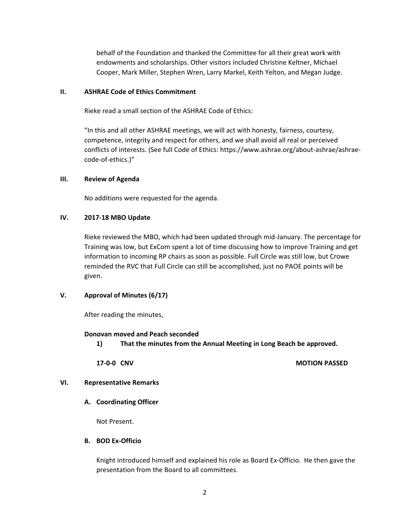behalf of the Foundation and thanked the Committee for all their great work with endowments and scholarships. Other visitors included Christine Keltner, Michael Cooper, Mark Miller, Stephen Wren, Larry Markel, Keith Yelton, and Megan Judge.

### **II. ASHRAE Code of Ethics Commitment**

Rieke read a small section of the ASHRAE Code of Ethics:

"In this and all other ASHRAE meetings, we will act with honesty, fairness, courtesy, competence, integrity and respect for others, and we shall avoid all real or perceived conflicts of interests. (See full Code of Ethics: https://www.ashrae.org/about-ashrae/ashraecode-of-ethics.)"

### **III. Review of Agenda**

No additions were requested for the agenda.

## **IV. 2017-18 MBO Update**

Rieke reviewed the MBO, which had been updated through mid-January. The percentage for Training was low, but ExCom spent a lot of time discussing how to improve Training and get information to incoming RP chairs as soon as possible. Full Circle was still low, but Crowe reminded the RVC that Full Circle can still be accomplished, just no PAOE points will be given.

# **V. Approval of Minutes (6/17)**

After reading the minutes,

### **Donovan moved and Peach seconded**

**1) That the minutes from the Annual Meeting in Long Beach be approved.** 

### **17-0-0 CNV MOTION PASSED**

# **VI. Representative Remarks**

# **A. Coordinating Officer**

Not Present.

### **B. BOD Ex-Officio**

Knight introduced himself and explained his role as Board Ex-Officio. He then gave the presentation from the Board to all committees.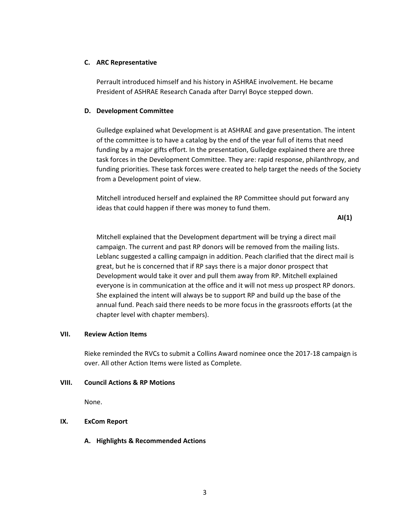## **C. ARC Representative**

Perrault introduced himself and his history in ASHRAE involvement. He became President of ASHRAE Research Canada after Darryl Boyce stepped down.

### **D. Development Committee**

Gulledge explained what Development is at ASHRAE and gave presentation. The intent of the committee is to have a catalog by the end of the year full of items that need funding by a major gifts effort. In the presentation, Gulledge explained there are three task forces in the Development Committee. They are: rapid response, philanthropy, and funding priorities. These task forces were created to help target the needs of the Society from a Development point of view.

Mitchell introduced herself and explained the RP Committee should put forward any ideas that could happen if there was money to fund them.

**AI(1)**

Mitchell explained that the Development department will be trying a direct mail campaign. The current and past RP donors will be removed from the mailing lists. Leblanc suggested a calling campaign in addition. Peach clarified that the direct mail is great, but he is concerned that if RP says there is a major donor prospect that Development would take it over and pull them away from RP. Mitchell explained everyone is in communication at the office and it will not mess up prospect RP donors. She explained the intent will always be to support RP and build up the base of the annual fund. Peach said there needs to be more focus in the grassroots efforts (at the chapter level with chapter members).

# **VII. Review Action Items**

Rieke reminded the RVCs to submit a Collins Award nominee once the 2017-18 campaign is over. All other Action Items were listed as Complete.

# **VIII. Council Actions & RP Motions**

None.

# **IX. ExCom Report**

**A. Highlights & Recommended Actions**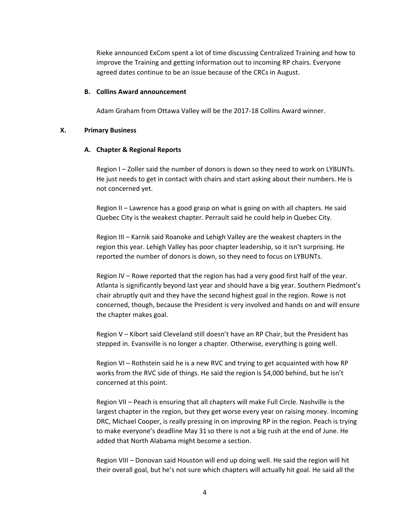Rieke announced ExCom spent a lot of time discussing Centralized Training and how to improve the Training and getting information out to incoming RP chairs. Everyone agreed dates continue to be an issue because of the CRCs in August.

#### **B. Collins Award announcement**

Adam Graham from Ottawa Valley will be the 2017-18 Collins Award winner.

### **X. Primary Business**

#### **A. Chapter & Regional Reports**

Region I – Zoller said the number of donors is down so they need to work on LYBUNTs. He just needs to get in contact with chairs and start asking about their numbers. He is not concerned yet.

Region II – Lawrence has a good grasp on what is going on with all chapters. He said Quebec City is the weakest chapter. Perrault said he could help in Quebec City.

Region III – Karnik said Roanoke and Lehigh Valley are the weakest chapters in the region this year. Lehigh Valley has poor chapter leadership, so it isn't surprising. He reported the number of donors is down, so they need to focus on LYBUNTs.

Region IV – Rowe reported that the region has had a very good first half of the year. Atlanta is significantly beyond last year and should have a big year. Southern Piedmont's chair abruptly quit and they have the second highest goal in the region. Rowe is not concerned, though, because the President is very involved and hands on and will ensure the chapter makes goal.

Region V – Kibort said Cleveland still doesn't have an RP Chair, but the President has stepped in. Evansville is no longer a chapter. Otherwise, everything is going well.

Region VI – Rothstein said he is a new RVC and trying to get acquainted with how RP works from the RVC side of things. He said the region is \$4,000 behind, but he isn't concerned at this point.

Region VII – Peach is ensuring that all chapters will make Full Circle. Nashville is the largest chapter in the region, but they get worse every year on raising money. Incoming DRC, Michael Cooper, is really pressing in on improving RP in the region. Peach is trying to make everyone's deadline May 31 so there is not a big rush at the end of June. He added that North Alabama might become a section.

Region VIII – Donovan said Houston will end up doing well. He said the region will hit their overall goal, but he's not sure which chapters will actually hit goal. He said all the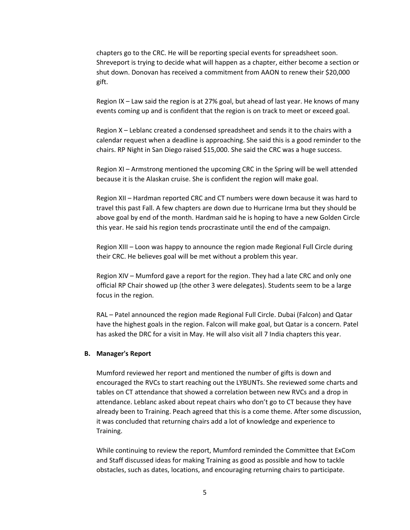chapters go to the CRC. He will be reporting special events for spreadsheet soon. Shreveport is trying to decide what will happen as a chapter, either become a section or shut down. Donovan has received a commitment from AAON to renew their \$20,000 gift.

Region IX – Law said the region is at 27% goal, but ahead of last year. He knows of many events coming up and is confident that the region is on track to meet or exceed goal.

Region X – Leblanc created a condensed spreadsheet and sends it to the chairs with a calendar request when a deadline is approaching. She said this is a good reminder to the chairs. RP Night in San Diego raised \$15,000. She said the CRC was a huge success.

Region XI – Armstrong mentioned the upcoming CRC in the Spring will be well attended because it is the Alaskan cruise. She is confident the region will make goal.

Region XII – Hardman reported CRC and CT numbers were down because it was hard to travel this past Fall. A few chapters are down due to Hurricane Irma but they should be above goal by end of the month. Hardman said he is hoping to have a new Golden Circle this year. He said his region tends procrastinate until the end of the campaign.

Region XIII – Loon was happy to announce the region made Regional Full Circle during their CRC. He believes goal will be met without a problem this year.

Region XIV – Mumford gave a report for the region. They had a late CRC and only one official RP Chair showed up (the other 3 were delegates). Students seem to be a large focus in the region.

RAL – Patel announced the region made Regional Full Circle. Dubai (Falcon) and Qatar have the highest goals in the region. Falcon will make goal, but Qatar is a concern. Patel has asked the DRC for a visit in May. He will also visit all 7 India chapters this year.

#### **B. Manager's Report**

Mumford reviewed her report and mentioned the number of gifts is down and encouraged the RVCs to start reaching out the LYBUNTs. She reviewed some charts and tables on CT attendance that showed a correlation between new RVCs and a drop in attendance. Leblanc asked about repeat chairs who don't go to CT because they have already been to Training. Peach agreed that this is a come theme. After some discussion, it was concluded that returning chairs add a lot of knowledge and experience to Training.

While continuing to review the report, Mumford reminded the Committee that ExCom and Staff discussed ideas for making Training as good as possible and how to tackle obstacles, such as dates, locations, and encouraging returning chairs to participate.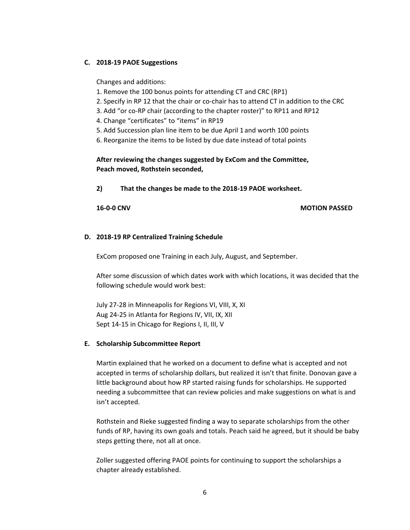# **C. 2018-19 PAOE Suggestions**

Changes and additions:

- 1. Remove the 100 bonus points for attending CT and CRC (RP1)
- 2. Specify in RP 12 that the chair or co-chair has to attend CT in addition to the CRC
- 3. Add "or co-RP chair (according to the chapter roster)" to RP11 and RP12
- 4. Change "certificates" to "items" in RP19
- 5. Add Succession plan line item to be due April 1 and worth 100 points
- 6. Reorganize the items to be listed by due date instead of total points

**After reviewing the changes suggested by ExCom and the Committee, Peach moved, Rothstein seconded,** 

**2) That the changes be made to the 2018-19 PAOE worksheet.**

### **16-0-0 CNV MOTION PASSED**

### **D. 2018-19 RP Centralized Training Schedule**

ExCom proposed one Training in each July, August, and September.

After some discussion of which dates work with which locations, it was decided that the following schedule would work best:

July 27-28 in Minneapolis for Regions VI, VIII, X, XI Aug 24-25 in Atlanta for Regions IV, VII, IX, XII Sept 14-15 in Chicago for Regions I, II, III, V

### **E. Scholarship Subcommittee Report**

Martin explained that he worked on a document to define what is accepted and not accepted in terms of scholarship dollars, but realized it isn't that finite. Donovan gave a little background about how RP started raising funds for scholarships. He supported needing a subcommittee that can review policies and make suggestions on what is and isn't accepted.

Rothstein and Rieke suggested finding a way to separate scholarships from the other funds of RP, having its own goals and totals. Peach said he agreed, but it should be baby steps getting there, not all at once.

Zoller suggested offering PAOE points for continuing to support the scholarships a chapter already established.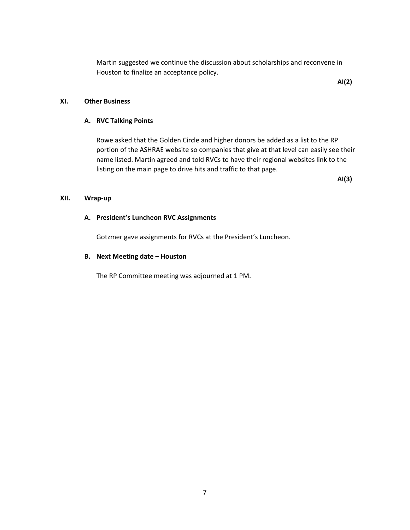Martin suggested we continue the discussion about scholarships and reconvene in Houston to finalize an acceptance policy.

**AI(2)**

### **XI. Other Business**

### **A. RVC Talking Points**

Rowe asked that the Golden Circle and higher donors be added as a list to the RP portion of the ASHRAE website so companies that give at that level can easily see their name listed. Martin agreed and told RVCs to have their regional websites link to the listing on the main page to drive hits and traffic to that page.

**AI(3)**

## **XII. Wrap-up**

### **A. President's Luncheon RVC Assignments**

Gotzmer gave assignments for RVCs at the President's Luncheon.

### **B. Next Meeting date – Houston**

The RP Committee meeting was adjourned at 1 PM.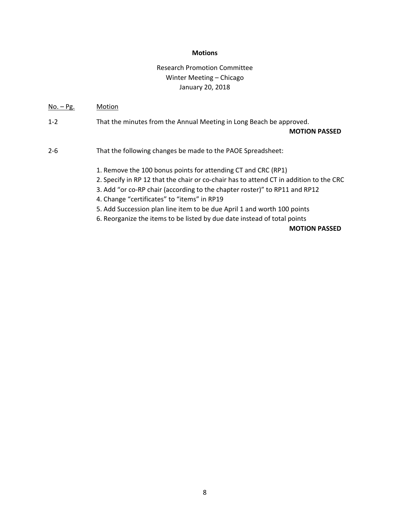### **Motions**

# Research Promotion Committee Winter Meeting – Chicago January 20, 2018

No. – Pg. Motion

1-2 That the minutes from the Annual Meeting in Long Beach be approved.

#### **MOTION PASSED**

2-6 That the following changes be made to the PAOE Spreadsheet:

1. Remove the 100 bonus points for attending CT and CRC (RP1)

2. Specify in RP 12 that the chair or co-chair has to attend CT in addition to the CRC

3. Add "or co-RP chair (according to the chapter roster)" to RP11 and RP12

4. Change "certificates" to "items" in RP19

5. Add Succession plan line item to be due April 1 and worth 100 points

6. Reorganize the items to be listed by due date instead of total points

# **MOTION PASSED**